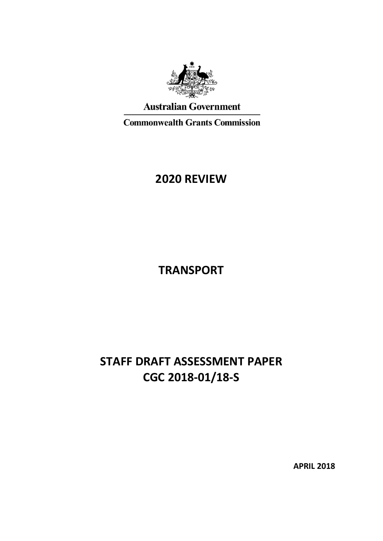

# **Australian Government**

**Commonwealth Grants Commission** 

# **2020 REVIEW**

**TRANSPORT**

# **STAFF DRAFT ASSESSMENT PAPER CGC 2018-01/18-S**

**APRIL 2018**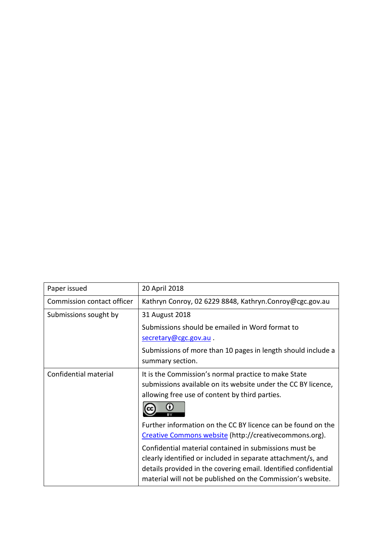| Paper issued               | 20 April 2018                                                                                                                                                                                                                                            |
|----------------------------|----------------------------------------------------------------------------------------------------------------------------------------------------------------------------------------------------------------------------------------------------------|
| Commission contact officer | Kathryn Conroy, 02 6229 8848, Kathryn.Conroy@cgc.gov.au                                                                                                                                                                                                  |
| Submissions sought by      | 31 August 2018                                                                                                                                                                                                                                           |
|                            | Submissions should be emailed in Word format to                                                                                                                                                                                                          |
|                            | secretary@cgc.gov.au.                                                                                                                                                                                                                                    |
|                            | Submissions of more than 10 pages in length should include a                                                                                                                                                                                             |
|                            | summary section.                                                                                                                                                                                                                                         |
| Confidential material      | It is the Commission's normal practice to make State                                                                                                                                                                                                     |
|                            | submissions available on its website under the CC BY licence,                                                                                                                                                                                            |
|                            | allowing free use of content by third parties.                                                                                                                                                                                                           |
|                            | O                                                                                                                                                                                                                                                        |
|                            | Further information on the CC BY licence can be found on the                                                                                                                                                                                             |
|                            | Creative Commons website (http://creativecommons.org).                                                                                                                                                                                                   |
|                            | Confidential material contained in submissions must be<br>clearly identified or included in separate attachment/s, and<br>details provided in the covering email. Identified confidential<br>material will not be published on the Commission's website. |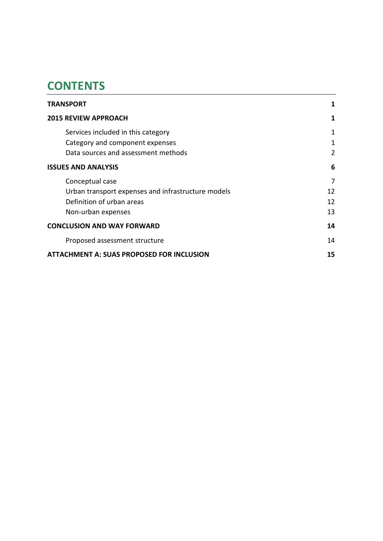# **CONTENTS**

| <b>TRANSPORT</b>                                   | 1  |
|----------------------------------------------------|----|
| <b>2015 REVIEW APPROACH</b>                        | 1  |
| Services included in this category                 | 1  |
| Category and component expenses                    | 1  |
| Data sources and assessment methods                | 2  |
| <b>ISSUES AND ANALYSIS</b>                         | 6  |
| Conceptual case                                    | 7  |
| Urban transport expenses and infrastructure models | 12 |
| Definition of urban areas                          | 12 |
| Non-urban expenses                                 | 13 |
| <b>CONCLUSION AND WAY FORWARD</b>                  | 14 |
| Proposed assessment structure                      | 14 |
| <b>ATTACHMENT A: SUAS PROPOSED FOR INCLUSION</b>   | 15 |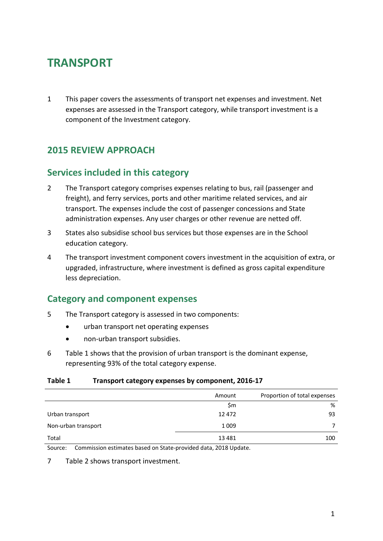# <span id="page-3-0"></span>**TRANSPORT**

1 This paper covers the assessments of transport net expenses and investment. Net expenses are assessed in the Transport category, while transport investment is a component of the Investment category.

# <span id="page-3-1"></span>**2015 REVIEW APPROACH**

## <span id="page-3-2"></span>**Services included in this category**

- 2 The Transport category comprises expenses relating to bus, rail (passenger and freight), and ferry services, ports and other maritime related services, and air transport. The expenses include the cost of passenger concessions and State administration expenses. Any user charges or other revenue are netted off.
- 3 States also subsidise school bus services but those expenses are in the School education category.
- 4 The transport investment component covers investment in the acquisition of extra, or upgraded, infrastructure, where investment is defined as gross capital expenditure less depreciation.

# <span id="page-3-3"></span>**Category and component expenses**

- 5 The Transport category is assessed in two components:
	- urban transport net operating expenses
	- non-urban transport subsidies.
- 6 [Table 1](#page-3-4) shows that the provision of urban transport is the dominant expense, representing 93% of the total category expense.

#### <span id="page-3-4"></span>**Table 1 Transport category expenses by component, 2016-17**

|                     | Amount | Proportion of total expenses |
|---------------------|--------|------------------------------|
|                     | Sm     | %                            |
| Urban transport     | 12472  | 93                           |
| Non-urban transport | 1009   |                              |
| Total               | 13481  | 100                          |

Source: Commission estimates based on State-provided data, 2018 Update.

7 [Table 2](#page-4-1) shows transport investment.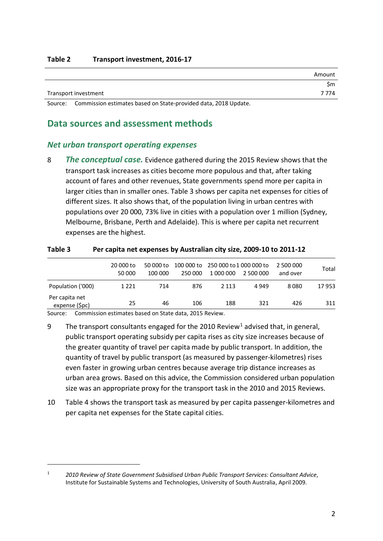<span id="page-4-1"></span>

|                      | Amount  |
|----------------------|---------|
|                      | Sm      |
| Transport investment | 7 7 7 4 |

<span id="page-4-0"></span>Source: Commission estimates based on State-provided data, 2018 Update.

### **Data sources and assessment methods**

#### *Net urban transport operating expenses*

8 *The conceptual case.* Evidence gathered during the 2015 Review shows that the transport task increases as cities become more populous and that, after taking account of fares and other revenues, State governments spend more per capita in larger cities than in smaller ones. [Table 3](#page-4-2) shows per capita net expenses for cities of different sizes. It also shows that, of the population living in urban centres with populations over 20 000, 73% live in cities with a population over 1 million (Sydney, Melbourne, Brisbane, Perth and Adelaide). This is where per capita net recurrent expenses are the highest.

|                                  | 20 000 to<br>50 000 | 50 000 to<br>100 000 | 250 000 | 100 000 to 250 000 to 1 000 000 to<br>1 000 000 | 2 500 000 | 2 500 000<br>and over | Total |
|----------------------------------|---------------------|----------------------|---------|-------------------------------------------------|-----------|-----------------------|-------|
| Population ('000)                | 1 2 2 1             | 714                  | 876     | 2 1 1 3                                         | 4 9 4 9   | 8080                  | 17953 |
| Per capita net<br>expense (\$pc) | 25                  | 46                   | 106     | 188                                             | 321       | 426                   | 311   |

#### <span id="page-4-2"></span>**Table 3 Per capita net expenses by Australian city size, 2009-10 to 2011-12**

Source: Commission estimates based on State data, 2015 Review.

 $\overline{a}$ 

- 9 The transport consultants engaged for the 20[1](#page-4-3)0 Review<sup>1</sup> advised that, in general, public transport operating subsidy per capita rises as city size increases because of the greater quantity of travel per capita made by public transport. In addition, the quantity of travel by public transport (as measured by passenger-kilometres) rises even faster in growing urban centres because average trip distance increases as urban area grows. Based on this advice, the Commission considered urban population size was an appropriate proxy for the transport task in the 2010 and 2015 Reviews.
- 10 [Table](#page-5-0) 4 shows the transport task as measured by per capita passenger-kilometres and per capita net expenses for the State capital cities.

<span id="page-4-3"></span><sup>1</sup> *2010 Review of State Government Subsidised Urban Public Transport Services: Consultant Advice*, Institute for Sustainable Systems and Technologies, University of South Australia, April 2009.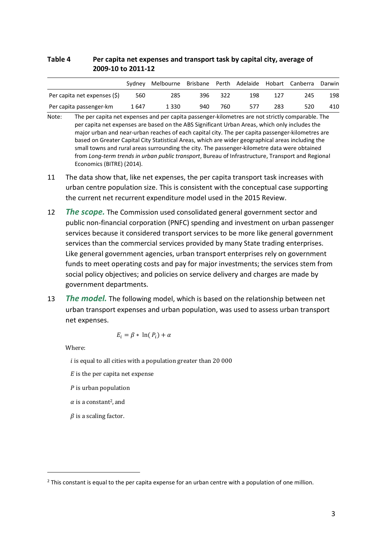#### <span id="page-5-0"></span>**Table 4 Per capita net expenses and transport task by capital city, average of 2009-10 to 2011-12**

|                              | Sydney | Melbourne | Brisbane Perth |     |     |     | Adelaide Hobart Canberra | Darwin |
|------------------------------|--------|-----------|----------------|-----|-----|-----|--------------------------|--------|
| Per capita net expenses (\$) | 560    | 285       | 396            | 322 | 198 | 127 | 245                      | 198    |
| Per capita passenger-km      | 1 647  | 1 3 3 0   | 940            | 760 | 577 | 283 | 520                      | 410    |

- Note: The per capita net expenses and per capita passenger-kilometres are not strictly comparable. The per capita net expenses are based on the ABS Significant Urban Areas, which only includes the major urban and near-urban reaches of each capital city. The per capita passenger-kilometres are based on Greater Capital City Statistical Areas, which are wider geographical areas including the small towns and rural areas surrounding the city. The passenger-kilometre data were obtained from *Long-term trends in urban public transport*, Bureau of Infrastructure, Transport and Regional Economics (BITRE) (2014).
- 11 The data show that, like net expenses, the per capita transport task increases with urban centre population size. This is consistent with the conceptual case supporting the current net recurrent expenditure model used in the 2015 Review.
- 12 *The scope.* The Commission used consolidated general government sector and public non-financial corporation (PNFC) spending and investment on urban passenger services because it considered transport services to be more like general government services than the commercial services provided by many State trading enterprises. Like general government agencies, urban transport enterprises rely on government funds to meet operating costs and pay for major investments; the services stem from social policy objectives; and policies on service delivery and charges are made by government departments.
- 13 *The model.* The following model, which is based on the relationship between net urban transport expenses and urban population, was used to assess urban transport net expenses.

$$
E_i = \beta * \ln(P_i) + \alpha
$$

Where:

 $\overline{a}$ 

 $i$  is equal to all cities with a population greater than 20 000

- $E$  is the per capita net expense
- $P$  is urban population
- $\alpha$  is a constant<sup>2</sup>, and
- $\beta$  is a scaling factor.

<sup>&</sup>lt;sup>2</sup> This constant is equal to the per capita expense for an urban centre with a population of one million.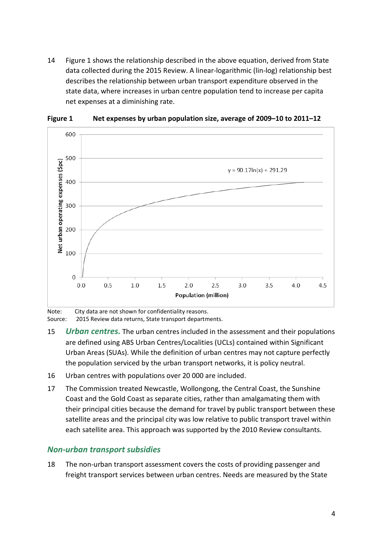14 [Figure 1](#page-6-0) shows the relationship described in the above equation, derived from State data collected during the 2015 Review. A linear-logarithmic (lin-log) relationship best describes the relationship between urban transport expenditure observed in the state data, where increases in urban centre population tend to increase per capita net expenses at a diminishing rate.



<span id="page-6-0"></span>**Figure 1 Net expenses by urban population size, average of 2009–10 to 2011–12**

Note: City data are not shown for confidentiality reasons. Source: 2015 Review data returns, State transport departments.

- 15 *Urban centres.* The urban centres included in the assessment and their populations are defined using ABS Urban Centres/Localities (UCLs) contained within Significant Urban Areas (SUAs). While the definition of urban centres may not capture perfectly the population serviced by the urban transport networks, it is policy neutral.
- 16 Urban centres with populations over 20 000 are included.
- 17 The Commission treated Newcastle, Wollongong, the Central Coast, the Sunshine Coast and the Gold Coast as separate cities, rather than amalgamating them with their principal cities because the demand for travel by public transport between these satellite areas and the principal city was low relative to public transport travel within each satellite area. This approach was supported by the 2010 Review consultants.

#### *Non-urban transport subsidies*

18 The non-urban transport assessment covers the costs of providing passenger and freight transport services between urban centres. Needs are measured by the State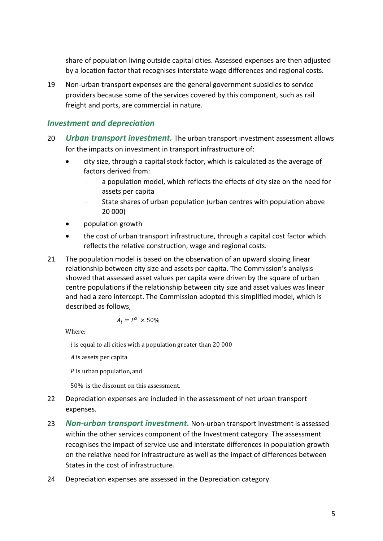share of population living outside capital cities. Assessed expenses are then adjusted by a location factor that recognises interstate wage differences and regional costs.

19 Non-urban transport expenses are the general government subsidies to service providers because some of the services covered by this component, such as rail freight and ports, are commercial in nature.

### *Investment and depreciation*

- 20 *Urban transport investment.* The urban transport investment assessment allows for the impacts on investment in transport infrastructure of:
	- city size, through a capital stock factor, which is calculated as the average of factors derived from:
		- a population model, which reflects the effects of city size on the need for assets per capita
		- − State shares of urban population (urban centres with population above 20 000)
	- population growth
	- the cost of urban transport infrastructure, through a capital cost factor which reflects the relative construction, wage and regional costs.
- 21 The population model is based on the observation of an upward sloping linear relationship between city size and assets per capita. The Commission's analysis showed that assessed asset values per capita were driven by the square of urban centre populations if the relationship between city size and asset values was linear and had a zero intercept. The Commission adopted this simplified model, which is described as follows,

$$
A_i = P^2 \times 50\%
$$

Where:

 $i$  is equal to all cities with a population greater than 20 000

 $A$  is assets per capita

 $P$  is urban population, and

50% is the discount on this assessment.

- 22 Depreciation expenses are included in the assessment of net urban transport expenses.
- 23 *Non-urban transport investment.* Non-urban transport investment is assessed within the other services component of the Investment category. The assessment recognises the impact of service use and interstate differences in population growth on the relative need for infrastructure as well as the impact of differences between States in the cost of infrastructure.
- 24 Depreciation expenses are assessed in the Depreciation category.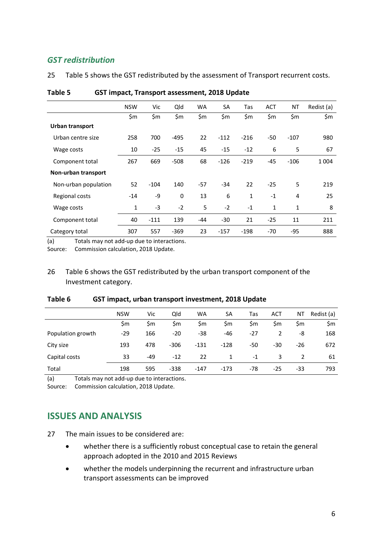### *GST redistribution*

25 [Table 5](#page-8-1) shows the GST redistributed by the assessment of Transport recurrent costs.

|                      | <b>NSW</b>   | Vic    | Qld         | WA    | <b>SA</b> | Tas    | <b>ACT</b> | NT     | Redist (a) |
|----------------------|--------------|--------|-------------|-------|-----------|--------|------------|--------|------------|
|                      | \$m          | \$m    | \$m         | \$m   | \$m       | \$m    | \$m        | \$m    | \$m        |
| Urban transport      |              |        |             |       |           |        |            |        |            |
| Urban centre size    | 258          | 700    | $-495$      | 22    | $-112$    | $-216$ | $-50$      | $-107$ | 980        |
| Wage costs           | 10           | $-25$  | $-15$       | 45    | $-15$     | $-12$  | 6          | 5      | 67         |
| Component total      | 267          | 669    | $-508$      | 68    | $-126$    | $-219$ | $-45$      | $-106$ | 1 0 0 4    |
| Non-urban transport  |              |        |             |       |           |        |            |        |            |
| Non-urban population | 52           | $-104$ | 140         | $-57$ | $-34$     | 22     | $-25$      | 5      | 219        |
| Regional costs       | $-14$        | -9     | $\mathbf 0$ | 13    | 6         | 1      | $-1$       | 4      | 25         |
| Wage costs           | $\mathbf{1}$ | $-3$   | $-2$        | 5     | $-2$      | $-1$   | 1          | 1      | 8          |
| Component total      | 40           | $-111$ | 139         | -44   | $-30$     | 21     | $-25$      | 11     | 211        |
| Category total       | 307          | 557    | $-369$      | 23    | $-157$    | $-198$ | $-70$      | $-95$  | 888        |

#### <span id="page-8-1"></span>**Table 5 GST impact, Transport assessment, 2018 Update**

(a) Totals may not add-up due to interactions.

Source: Commission calculation, 2018 Update.

### 26 [Table 6](#page-8-2) shows the GST redistributed by the urban transport component of the Investment category.

|                   | <b>NSW</b> | Vic   | Qld    | <b>WA</b> | SA     | Tas   | <b>ACT</b> | ΝT  | Redist (a) |
|-------------------|------------|-------|--------|-----------|--------|-------|------------|-----|------------|
|                   | \$m        | \$m   | \$m    | \$m       | \$m    | \$m   | \$m        | \$m | \$m        |
| Population growth | $-29$      | 166   | $-20$  | $-38$     | $-46$  | $-27$ | 2          | -8  | 168        |
| City size         | 193        | 478   | $-306$ | $-131$    | $-128$ | $-50$ | -30        | -26 | 672        |
| Capital costs     | 33         | $-49$ | $-12$  | 22        | 1      | $-1$  | 3          |     | 61         |
| Total             | 198        | 595   | $-338$ | $-147$    | $-173$ | $-78$ | $-25$      | -33 | 793        |

#### <span id="page-8-2"></span>**Table 6 GST impact, urban transport investment, 2018 Update**

(a) Totals may not add-up due to interactions.

<span id="page-8-0"></span>Source: Commission calculation, 2018 Update.

## **ISSUES AND ANALYSIS**

27 The main issues to be considered are:

- whether there is a sufficiently robust conceptual case to retain the general approach adopted in the 2010 and 2015 Reviews
- whether the models underpinning the recurrent and infrastructure urban transport assessments can be improved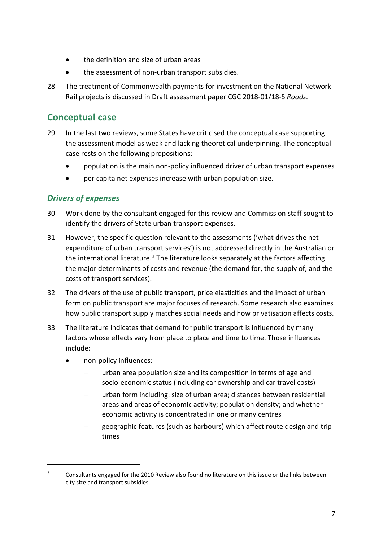- the definition and size of urban areas
- the assessment of non-urban transport subsidies.
- 28 The treatment of Commonwealth payments for investment on the National Network Rail projects is discussed in Draft assessment paper CGC 2018-01/18-S *Roads*.

### <span id="page-9-0"></span>**Conceptual case**

- 29 In the last two reviews, some States have criticised the conceptual case supporting the assessment model as weak and lacking theoretical underpinning. The conceptual case rests on the following propositions:
	- population is the main non-policy influenced driver of urban transport expenses
	- per capita net expenses increase with urban population size.

### *Drivers of expenses*

- 30 Work done by the consultant engaged for this review and Commission staff sought to identify the drivers of State urban transport expenses.
- 31 However, the specific question relevant to the assessments ('what drives the net expenditure of urban transport services') is not addressed directly in the Australian or the international literature.<sup>[3](#page-9-1)</sup> The literature looks separately at the factors affecting the major determinants of costs and revenue (the demand for, the supply of, and the costs of transport services).
- 32 The drivers of the use of public transport, price elasticities and the impact of urban form on public transport are major focuses of research. Some research also examines how public transport supply matches social needs and how privatisation affects costs.
- 33 The literature indicates that demand for public transport is influenced by many factors whose effects vary from place to place and time to time. Those influences include:
	- non-policy influences:

 $\overline{a}$ 

- − urban area population size and its composition in terms of age and socio-economic status (including car ownership and car travel costs)
- urban form including: size of urban area; distances between residential areas and areas of economic activity; population density; and whether economic activity is concentrated in one or many centres
- geographic features (such as harbours) which affect route design and trip times

<span id="page-9-1"></span><sup>&</sup>lt;sup>3</sup> Consultants engaged for the 2010 Review also found no literature on this issue or the links between city size and transport subsidies.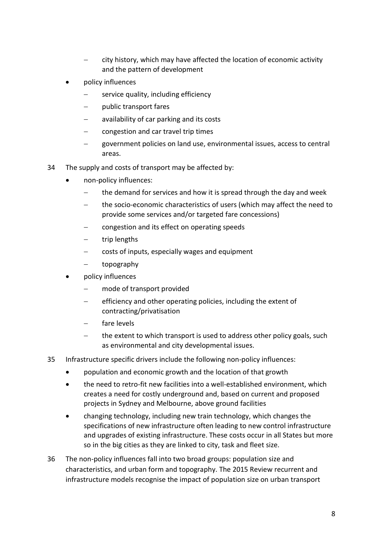- city history, which may have affected the location of economic activity and the pattern of development
- policy influences
	- service quality, including efficiency
	- − public transport fares
	- − availability of car parking and its costs
	- − congestion and car travel trip times
	- government policies on land use, environmental issues, access to central areas.
- 34 The supply and costs of transport may be affected by:
	- non-policy influences:
		- − the demand for services and how it is spread through the day and week
		- the socio-economic characteristics of users (which may affect the need to provide some services and/or targeted fare concessions)
		- − congestion and its effect on operating speeds
		- trip lengths
		- − costs of inputs, especially wages and equipment
		- − topography
	- policy influences
		- mode of transport provided
		- efficiency and other operating policies, including the extent of contracting/privatisation
		- fare levels
		- the extent to which transport is used to address other policy goals, such as environmental and city developmental issues.
- 35 Infrastructure specific drivers include the following non-policy influences:
	- population and economic growth and the location of that growth
	- the need to retro-fit new facilities into a well-established environment, which creates a need for costly underground and, based on current and proposed projects in Sydney and Melbourne, above ground facilities
	- changing technology, including new train technology, which changes the specifications of new infrastructure often leading to new control infrastructure and upgrades of existing infrastructure. These costs occur in all States but more so in the big cities as they are linked to city, task and fleet size.
- 36 The non-policy influences fall into two broad groups: population size and characteristics, and urban form and topography. The 2015 Review recurrent and infrastructure models recognise the impact of population size on urban transport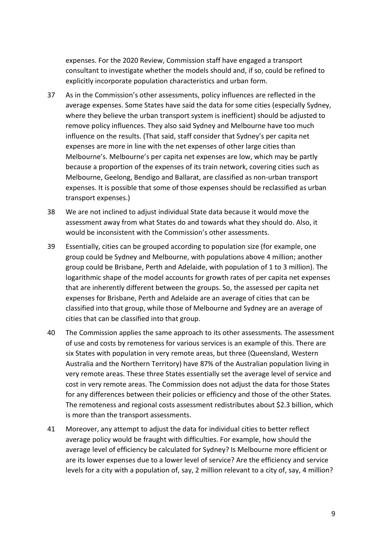expenses. For the 2020 Review, Commission staff have engaged a transport consultant to investigate whether the models should and, if so, could be refined to explicitly incorporate population characteristics and urban form.

- 37 As in the Commission's other assessments, policy influences are reflected in the average expenses. Some States have said the data for some cities (especially Sydney, where they believe the urban transport system is inefficient) should be adjusted to remove policy influences. They also said Sydney and Melbourne have too much influence on the results. (That said, staff consider that Sydney's per capita net expenses are more in line with the net expenses of other large cities than Melbourne's. Melbourne's per capita net expenses are low, which may be partly because a proportion of the expenses of its train network, covering cities such as Melbourne, Geelong, Bendigo and Ballarat, are classified as non-urban transport expenses. It is possible that some of those expenses should be reclassified as urban transport expenses.)
- 38 We are not inclined to adjust individual State data because it would move the assessment away from what States do and towards what they should do. Also, it would be inconsistent with the Commission's other assessments.
- 39 Essentially, cities can be grouped according to population size (for example, one group could be Sydney and Melbourne, with populations above 4 million; another group could be Brisbane, Perth and Adelaide, with population of 1 to 3 million). The logarithmic shape of the model accounts for growth rates of per capita net expenses that are inherently different between the groups. So, the assessed per capita net expenses for Brisbane, Perth and Adelaide are an average of cities that can be classified into that group, while those of Melbourne and Sydney are an average of cities that can be classified into that group.
- 40 The Commission applies the same approach to its other assessments. The assessment of use and costs by remoteness for various services is an example of this. There are six States with population in very remote areas, but three (Queensland, Western Australia and the Northern Territory) have 87% of the Australian population living in very remote areas. These three States essentially set the average level of service and cost in very remote areas. The Commission does not adjust the data for those States for any differences between their policies or efficiency and those of the other States. The remoteness and regional costs assessment redistributes about \$2.3 billion, which is more than the transport assessments.
- 41 Moreover, any attempt to adjust the data for individual cities to better reflect average policy would be fraught with difficulties. For example, how should the average level of efficiency be calculated for Sydney? Is Melbourne more efficient or are its lower expenses due to a lower level of service? Are the efficiency and service levels for a city with a population of, say, 2 million relevant to a city of, say, 4 million?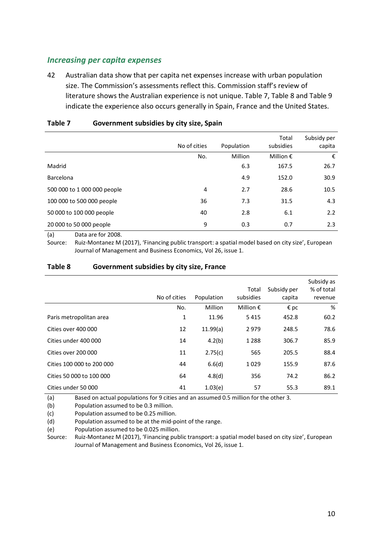### *Increasing per capita expenses*

42 Australian data show that per capita net expenses increase with urban population size. The Commission's assessments reflect this. Commission staff's review of literature shows the Australian experience is not unique. [Table 7,](#page-12-0) [Table 8](#page-12-1) and [Table 9](#page-13-0) indicate the experience also occurs generally in Spain, France and the United States.

|                             | No of cities | Population | Total<br>subsidies | Subsidy per<br>capita |
|-----------------------------|--------------|------------|--------------------|-----------------------|
|                             | No.          | Million    | Million $\epsilon$ | €                     |
| Madrid                      |              | 6.3        | 167.5              | 26.7                  |
| <b>Barcelona</b>            |              | 4.9        | 152.0              | 30.9                  |
| 500 000 to 1 000 000 people | 4            | 2.7        | 28.6               | 10.5                  |
| 100 000 to 500 000 people   | 36           | 7.3        | 31.5               | 4.3                   |
| 50 000 to 100 000 people    | 40           | 2.8        | 6.1                | 2.2                   |
| 20 000 to 50 000 people     | 9            | 0.3        | 0.7                | 2.3                   |
| $\sim$ $\sim$               |              |            |                    |                       |

#### <span id="page-12-0"></span>**Table 7 Government subsidies by city size, Spain**

(a) Data are for 2008.

Source: Ruiz-Montanez M (2017), 'Financing public transport: a spatial model based on city size', European Journal of Management and Business Economics, Vol 26, issue 1.

#### <span id="page-12-1"></span>**Table 8 Government subsidies by city size, France**

|                           | No of cities | Population | Total<br>subsidies | Subsidy per<br>capita | Subsidy as<br>% of total<br>revenue |
|---------------------------|--------------|------------|--------------------|-----------------------|-------------------------------------|
|                           | No.          | Million    | Million $\epsilon$ | $\epsilon$ pc         | %                                   |
| Paris metropolitan area   | $\mathbf{1}$ | 11.96      | 5415               | 452.8                 | 60.2                                |
| Cities over 400 000       | 12           | 11.99(a)   | 2979               | 248.5                 | 78.6                                |
| Cities under 400 000      | 14           | 4.2(b)     | 1 2 8 8            | 306.7                 | 85.9                                |
| Cities over 200 000       | 11           | 2.75(c)    | 565                | 205.5                 | 88.4                                |
| Cities 100 000 to 200 000 | 44           | 6.6(d)     | 1029               | 155.9                 | 87.6                                |
| Cities 50 000 to 100 000  | 64           | 4.8(d)     | 356                | 74.2                  | 86.2                                |
| Cities under 50 000       | 41           | 1.03(e)    | 57                 | 55.3                  | 89.1                                |

(a) Based on actual populations for 9 cities and an assumed 0.5 million for the other 3.

(b) Population assumed to be 0.3 million.

(c) Population assumed to be 0.25 million.

(d) Population assumed to be at the mid-point of the range.

(e) Population assumed to be 0.025 million.

Source: Ruiz-Montanez M (2017), 'Financing public transport: a spatial model based on city size', European Journal of Management and Business Economics, Vol 26, issue 1.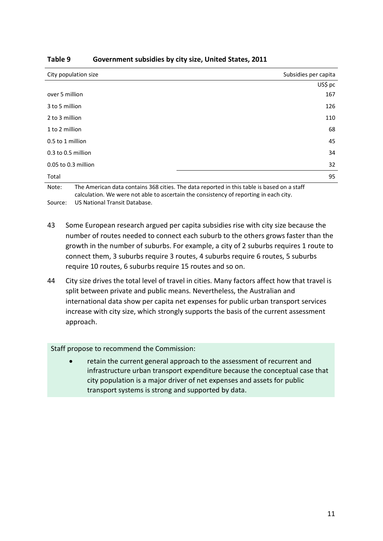| City population size | Subsidies per capita |
|----------------------|----------------------|
|                      | US\$ pc              |
| over 5 million       | 167                  |
| 3 to 5 million       | 126                  |
| 2 to 3 million       | 110                  |
| 1 to 2 million       | 68                   |
| 0.5 to 1 million     | 45                   |
| 0.3 to 0.5 million   | 34                   |
| 0.05 to 0.3 million  | 32                   |
| Total                | 95                   |

#### <span id="page-13-0"></span>**Table 9 Government subsidies by city size, United States, 2011**

Note: The American data contains 368 cities. The data reported in this table is based on a staff calculation. We were not able to ascertain the consistency of reporting in each city.

Source: US National Transit Database.

- 43 Some European research argued per capita subsidies rise with city size because the number of routes needed to connect each suburb to the others grows faster than the growth in the number of suburbs. For example, a city of 2 suburbs requires 1 route to connect them, 3 suburbs require 3 routes, 4 suburbs require 6 routes, 5 suburbs require 10 routes, 6 suburbs require 15 routes and so on.
- 44 City size drives the total level of travel in cities. Many factors affect how that travel is split between private and public means. Nevertheless, the Australian and international data show per capita net expenses for public urban transport services increase with city size, which strongly supports the basis of the current assessment approach.

Staff propose to recommend the Commission:

• retain the current general approach to the assessment of recurrent and infrastructure urban transport expenditure because the conceptual case that city population is a major driver of net expenses and assets for public transport systems is strong and supported by data.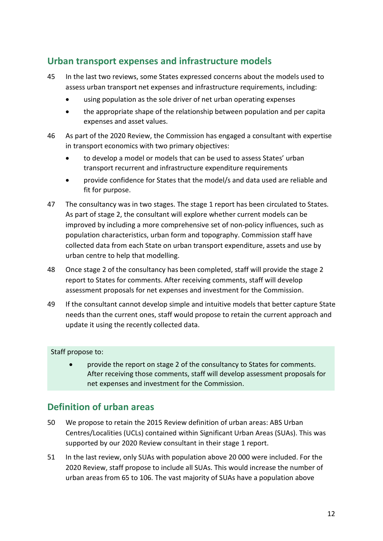# <span id="page-14-0"></span>**Urban transport expenses and infrastructure models**

- 45 In the last two reviews, some States expressed concerns about the models used to assess urban transport net expenses and infrastructure requirements, including:
	- using population as the sole driver of net urban operating expenses
	- the appropriate shape of the relationship between population and per capita expenses and asset values.
- 46 As part of the 2020 Review, the Commission has engaged a consultant with expertise in transport economics with two primary objectives:
	- to develop a model or models that can be used to assess States' urban transport recurrent and infrastructure expenditure requirements
	- provide confidence for States that the model/s and data used are reliable and fit for purpose.
- 47 The consultancy was in two stages. The stage 1 report has been circulated to States. As part of stage 2, the consultant will explore whether current models can be improved by including a more comprehensive set of non-policy influences, such as population characteristics, urban form and topography. Commission staff have collected data from each State on urban transport expenditure, assets and use by urban centre to help that modelling.
- 48 Once stage 2 of the consultancy has been completed, staff will provide the stage 2 report to States for comments. After receiving comments, staff will develop assessment proposals for net expenses and investment for the Commission.
- 49 If the consultant cannot develop simple and intuitive models that better capture State needs than the current ones, staff would propose to retain the current approach and update it using the recently collected data.

#### Staff propose to:

• provide the report on stage 2 of the consultancy to States for comments. After receiving those comments, staff will develop assessment proposals for net expenses and investment for the Commission.

### <span id="page-14-1"></span>**Definition of urban areas**

- 50 We propose to retain the 2015 Review definition of urban areas: ABS Urban Centres/Localities (UCLs) contained within Significant Urban Areas (SUAs). This was supported by our 2020 Review consultant in their stage 1 report.
- 51 In the last review, only SUAs with population above 20 000 were included. For the 2020 Review, staff propose to include all SUAs. This would increase the number of urban areas from 65 to 106. The vast majority of SUAs have a population above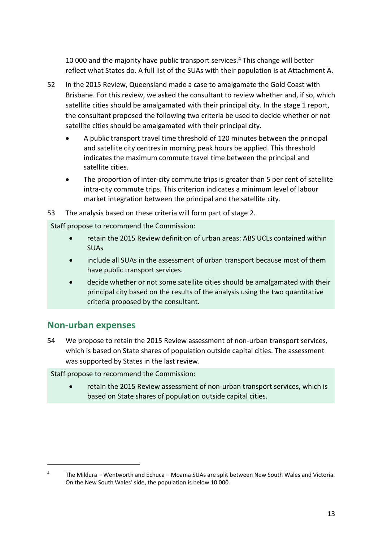10 000 and the majority have public transport services.[4](#page-15-1) This change will better reflect what States do. A full list of the SUAs with their population is at Attachment A.

- 52 In the 2015 Review, Queensland made a case to amalgamate the Gold Coast with Brisbane. For this review, we asked the consultant to review whether and, if so, which satellite cities should be amalgamated with their principal city. In the stage 1 report, the consultant proposed the following two criteria be used to decide whether or not satellite cities should be amalgamated with their principal city.
	- A public transport travel time threshold of 120 minutes between the principal and satellite city centres in morning peak hours be applied. This threshold indicates the maximum commute travel time between the principal and satellite cities.
	- The proportion of inter-city commute trips is greater than 5 per cent of satellite intra-city commute trips. This criterion indicates a minimum level of labour market integration between the principal and the satellite city.
- 53 The analysis based on these criteria will form part of stage 2.

Staff propose to recommend the Commission:

- retain the 2015 Review definition of urban areas: ABS UCLs contained within SUAs
- include all SUAs in the assessment of urban transport because most of them have public transport services.
- decide whether or not some satellite cities should be amalgamated with their principal city based on the results of the analysis using the two quantitative criteria proposed by the consultant.

## <span id="page-15-0"></span>**Non-urban expenses**

 $\overline{a}$ 

54 We propose to retain the 2015 Review assessment of non-urban transport services, which is based on State shares of population outside capital cities. The assessment was supported by States in the last review.

Staff propose to recommend the Commission:

• retain the 2015 Review assessment of non-urban transport services, which is based on State shares of population outside capital cities.

<span id="page-15-1"></span><sup>&</sup>lt;sup>4</sup> The Mildura – Wentworth and Echuca – Moama SUAs are split between New South Wales and Victoria. On the New South Wales' side, the population is below 10 000.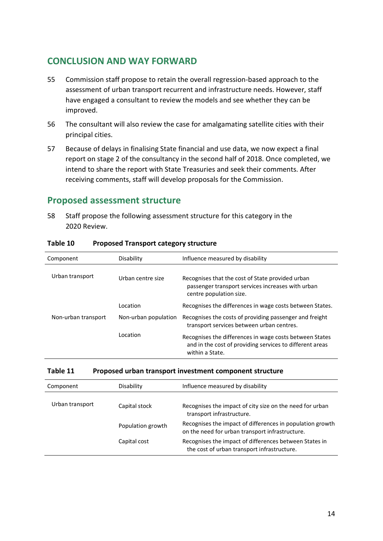## <span id="page-16-0"></span>**CONCLUSION AND WAY FORWARD**

- 55 Commission staff propose to retain the overall regression-based approach to the assessment of urban transport recurrent and infrastructure needs. However, staff have engaged a consultant to review the models and see whether they can be improved.
- 56 The consultant will also review the case for amalgamating satellite cities with their principal cities.
- 57 Because of delays in finalising State financial and use data, we now expect a final report on stage 2 of the consultancy in the second half of 2018. Once completed, we intend to share the report with State Treasuries and seek their comments. After receiving comments, staff will develop proposals for the Commission.

## <span id="page-16-1"></span>**Proposed assessment structure**

58 Staff propose the following assessment structure for this category in the 2020 Review.

| Component           | Disability           | Influence measured by disability                                                                                                       |
|---------------------|----------------------|----------------------------------------------------------------------------------------------------------------------------------------|
| Urban transport     | Urban centre size    | Recognises that the cost of State provided urban<br>passenger transport services increases with urban<br>centre population size.       |
|                     | Location             | Recognises the differences in wage costs between States.                                                                               |
| Non-urban transport | Non-urban population | Recognises the costs of providing passenger and freight<br>transport services between urban centres.                                   |
|                     | Location             | Recognises the differences in wage costs between States<br>and in the cost of providing services to different areas<br>within a State. |

#### **Table 10 Proposed Transport category structure**

| Table 11 | Proposed urban transport investment component structure |
|----------|---------------------------------------------------------|
|----------|---------------------------------------------------------|

| Component       | Disability        | Influence measured by disability                                                                             |
|-----------------|-------------------|--------------------------------------------------------------------------------------------------------------|
| Urban transport | Capital stock     | Recognises the impact of city size on the need for urban<br>transport infrastructure.                        |
|                 | Population growth | Recognises the impact of differences in population growth<br>on the need for urban transport infrastructure. |
|                 | Capital cost      | Recognises the impact of differences between States in<br>the cost of urban transport infrastructure.        |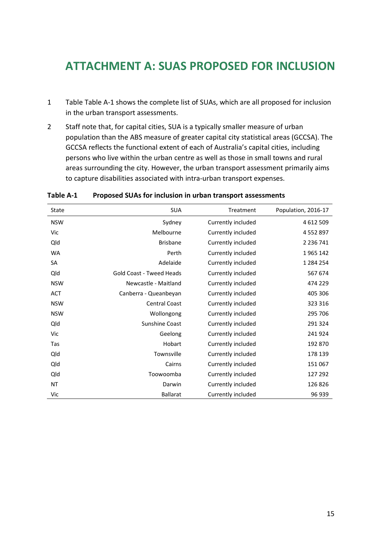# <span id="page-17-0"></span>**ATTACHMENT A: SUAS PROPOSED FOR INCLUSION**

- 1 [Table Table A-1](#page-17-1) shows the complete list of SUAs, which are all proposed for inclusion in the urban transport assessments.
- 2 Staff note that, for capital cities, SUA is a typically smaller measure of urban population than the ABS measure of greater capital city statistical areas (GCCSA). The GCCSA reflects the functional extent of each of Australia's capital cities, including persons who live within the urban centre as well as those in small towns and rural areas surrounding the city. However, the urban transport assessment primarily aims to capture disabilities associated with intra-urban transport expenses.

| State      | <b>SUA</b>                      | Treatment          | Population, 2016-17 |
|------------|---------------------------------|--------------------|---------------------|
| <b>NSW</b> | Sydney                          | Currently included | 4 612 509           |
| Vic        | Melbourne                       | Currently included | 4 5 5 2 8 9 7       |
| Qld        | <b>Brisbane</b>                 | Currently included | 2 2 3 6 7 4 1       |
| <b>WA</b>  | Perth                           | Currently included | 1965 142            |
| SA         | Adelaide                        | Currently included | 1 2 8 4 2 5 4       |
| Qld        | <b>Gold Coast - Tweed Heads</b> | Currently included | 567 674             |
| <b>NSW</b> | Newcastle - Maitland            | Currently included | 474 229             |
| ACT        | Canberra - Queanbeyan           | Currently included | 405 306             |
| <b>NSW</b> | <b>Central Coast</b>            | Currently included | 323 316             |
| <b>NSW</b> | Wollongong                      | Currently included | 295 706             |
| Qld        | Sunshine Coast                  | Currently included | 291 324             |
| Vic        | Geelong                         | Currently included | 241924              |
| Tas        | Hobart                          | Currently included | 192 870             |
| Qld        | Townsville                      | Currently included | 178 139             |
| Qld        | Cairns                          | Currently included | 151 067             |
| Qld        | Toowoomba                       | Currently included | 127 292             |
| ΝT         | Darwin                          | Currently included | 126 826             |
| Vic        | <b>Ballarat</b>                 | Currently included | 96 939              |

#### <span id="page-17-1"></span>**Table A-1 Proposed SUAs for inclusion in urban transport assessments**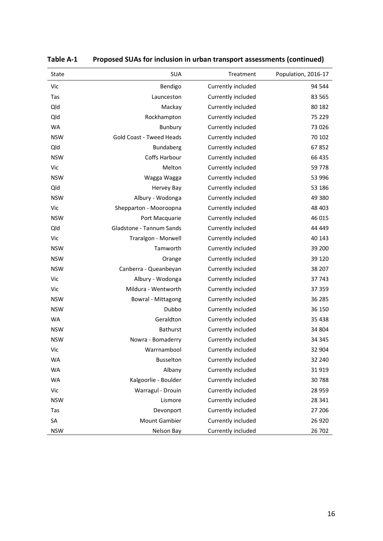| State      | <b>SUA</b>                      | Treatment          | Population, 2016-17 |
|------------|---------------------------------|--------------------|---------------------|
| Vic        | Bendigo                         | Currently included | 94 544              |
| Tas        | Launceston                      | Currently included | 83 565              |
| Qld        | Mackay                          | Currently included | 80 182              |
| Qld        | Rockhampton                     | Currently included | 75 229              |
| <b>WA</b>  | Bunbury                         | Currently included | 73 0 26             |
| <b>NSW</b> | <b>Gold Coast - Tweed Heads</b> | Currently included | 70 102              |
| Qld        | <b>Bundaberg</b>                | Currently included | 67852               |
| <b>NSW</b> | Coffs Harbour                   | Currently included | 66 435              |
| Vic        | Melton                          | Currently included | 59 778              |
| <b>NSW</b> | Wagga Wagga                     | Currently included | 53 996              |
| Qld        | Hervey Bay                      | Currently included | 53 186              |
| <b>NSW</b> | Albury - Wodonga                | Currently included | 49 380              |
| Vic        | Shepparton - Mooroopna          | Currently included | 48 403              |
| <b>NSW</b> | Port Macquarie                  | Currently included | 46 015              |
| Qld        | Gladstone - Tannum Sands        | Currently included | 44 449              |
| Vic        | Traralgon - Morwell             | Currently included | 40 143              |
| <b>NSW</b> | Tamworth                        | Currently included | 39 200              |
| <b>NSW</b> | Orange                          | Currently included | 39 1 20             |
| <b>NSW</b> | Canberra - Queanbeyan           | Currently included | 38 207              |
| Vic        | Albury - Wodonga                | Currently included | 37 743              |
| Vic        | Mildura - Wentworth             | Currently included | 37 359              |
| <b>NSW</b> | Bowral - Mittagong              | Currently included | 36 285              |
| <b>NSW</b> | Dubbo                           | Currently included | 36 150              |
| <b>WA</b>  | Geraldton                       | Currently included | 35 4 38             |
| <b>NSW</b> | <b>Bathurst</b>                 | Currently included | 34 804              |
| <b>NSW</b> | Nowra - Bomaderry               | Currently included | 34 345              |
| Vic        | Warrnambool                     | Currently included | 32 904              |
| WA         | Busselton                       | Currently included | 32 240              |
| <b>WA</b>  | Albany                          | Currently included | 31919               |
| <b>WA</b>  | Kalgoorlie - Boulder            | Currently included | 30 788              |
| Vic        | Warragul - Drouin               | Currently included | 28 959              |
| <b>NSW</b> | Lismore                         | Currently included | 28 341              |
| Tas        | Devonport                       | Currently included | 27 206              |
| SA         | Mount Gambier                   | Currently included | 26 9 20             |
| <b>NSW</b> | Nelson Bay                      | Currently included | 26 702              |

| Table A-1 |  |  |  | Proposed SUAs for inclusion in urban transport assessments (continued) |
|-----------|--|--|--|------------------------------------------------------------------------|
|-----------|--|--|--|------------------------------------------------------------------------|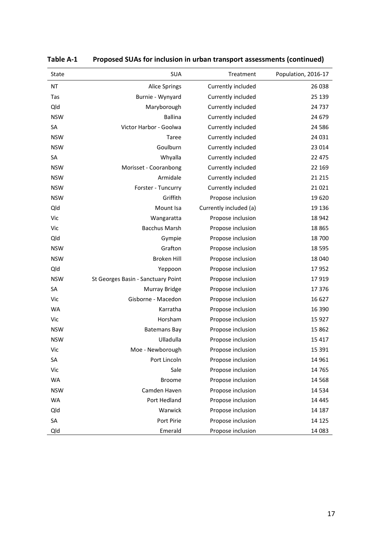| State      | <b>SUA</b>                         | Treatment              | Population, 2016-17 |
|------------|------------------------------------|------------------------|---------------------|
| NT         | <b>Alice Springs</b>               | Currently included     | 26 038              |
| Tas        | Burnie - Wynyard                   | Currently included     | 25 139              |
| Qld        | Maryborough                        | Currently included     | 24 7 37             |
| <b>NSW</b> | <b>Ballina</b>                     | Currently included     | 24 679              |
| <b>SA</b>  | Victor Harbor - Goolwa             | Currently included     | 24 5 8 6            |
| <b>NSW</b> | Taree                              | Currently included     | 24 031              |
| <b>NSW</b> | Goulburn                           | Currently included     | 23 014              |
| SA         | Whyalla                            | Currently included     | 22 475              |
| <b>NSW</b> | Morisset - Cooranbong              | Currently included     | 22 169              |
| <b>NSW</b> | Armidale                           | Currently included     | 21 2 15             |
| <b>NSW</b> | Forster - Tuncurry                 | Currently included     | 21 0 21             |
| <b>NSW</b> | Griffith                           | Propose inclusion      | 19 6 20             |
| Qld        | Mount Isa                          | Currently included (a) | 19 13 6             |
| Vic        | Wangaratta                         | Propose inclusion      | 18 942              |
| Vic        | <b>Bacchus Marsh</b>               | Propose inclusion      | 18 8 65             |
| Qld        | Gympie                             | Propose inclusion      | 18 700              |
| <b>NSW</b> | Grafton                            | Propose inclusion      | 18 5 95             |
| <b>NSW</b> | <b>Broken Hill</b>                 | Propose inclusion      | 18 040              |
| Qld        | Yeppoon                            | Propose inclusion      | 17952               |
| <b>NSW</b> | St Georges Basin - Sanctuary Point | Propose inclusion      | 17919               |
| <b>SA</b>  | <b>Murray Bridge</b>               | Propose inclusion      | 17 376              |
| Vic        | Gisborne - Macedon                 | Propose inclusion      | 16 627              |
| <b>WA</b>  | Karratha                           | Propose inclusion      | 16 390              |
| Vic        | Horsham                            | Propose inclusion      | 15 9 27             |
| <b>NSW</b> | <b>Batemans Bay</b>                | Propose inclusion      | 15 862              |
| <b>NSW</b> | Ulladulla                          | Propose inclusion      | 15 4 17             |
| Vic        | Moe - Newborough                   | Propose inclusion      | 15 3 9 1            |
| SA         | Port Lincoln                       | Propose inclusion      | 14 961              |
| Vic        | Sale                               | Propose inclusion      | 14 765              |
| <b>WA</b>  | <b>Broome</b>                      | Propose inclusion      | 14 5 68             |
| <b>NSW</b> | Camden Haven                       | Propose inclusion      | 14 5 34             |
| <b>WA</b>  | Port Hedland                       | Propose inclusion      | 14 4 45             |
| Qld        | Warwick                            | Propose inclusion      | 14 187              |
| SA         | Port Pirie                         | Propose inclusion      | 14 125              |
| Qld        | Emerald                            | Propose inclusion      | 14 083              |

| Table A-1 |  |  |  | Proposed SUAs for inclusion in urban transport assessments (continued) |
|-----------|--|--|--|------------------------------------------------------------------------|
|-----------|--|--|--|------------------------------------------------------------------------|